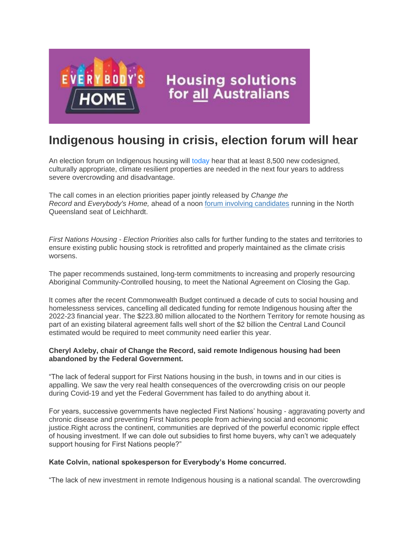

## **Indigenous housing in crisis, election forum will hear**

An election forum on Indigenous housing will today hear that at least 8,500 new codesigned, culturally appropriate, climate resilient properties are needed in the next four years to address severe overcrowding and disadvantage.

The call comes in an election priorities paper jointly released by *Change the Record* and *Everybody's Home,* ahead of a noon [forum involving candidates](https://us02web.zoom.us/webinar/register/WN_qaTJQ8SHQLKqAu0Y5qmgCw?fbclid=IwAR2OQpS-ARSzfKcSh7rW6nXYHdINK2pgtZHOYr84sZj5rR2YJWkfw1Iq_Gk) running in the North Queensland seat of Leichhardt.

*First Nations Housing - Election Priorities* also calls for further funding to the states and territories to ensure existing public housing stock is retrofitted and properly maintained as the climate crisis worsens.

The paper recommends sustained, long-term commitments to increasing and properly resourcing Aboriginal Community-Controlled housing, to meet the National Agreement on Closing the Gap.

It comes after the recent Commonwealth Budget continued a decade of cuts to social housing and homelessness services, cancelling all dedicated funding for remote Indigenous housing after the 2022-23 financial year. The \$223.80 million allocated to the Northern Territory for remote housing as part of an existing bilateral agreement falls well short of the \$2 billion the Central Land Council estimated would be required to meet community need earlier this year.

## **Cheryl Axleby, chair of Change the Record, said remote Indigenous housing had been abandoned by the Federal Government.**

"The lack of federal support for First Nations housing in the bush, in towns and in our cities is appalling. We saw the very real health consequences of the overcrowding crisis on our people during Covid-19 and yet the Federal Government has failed to do anything about it.

For years, successive governments have neglected First Nations' housing - aggravating poverty and chronic disease and preventing First Nations people from achieving social and economic justice.Right across the continent, communities are deprived of the powerful economic ripple effect of housing investment. If we can dole out subsidies to first home buyers, why can't we adequately support housing for First Nations people?"

## **Kate Colvin, national spokesperson for Everybody's Home concurred.**

"The lack of new investment in remote Indigenous housing is a national scandal. The overcrowding